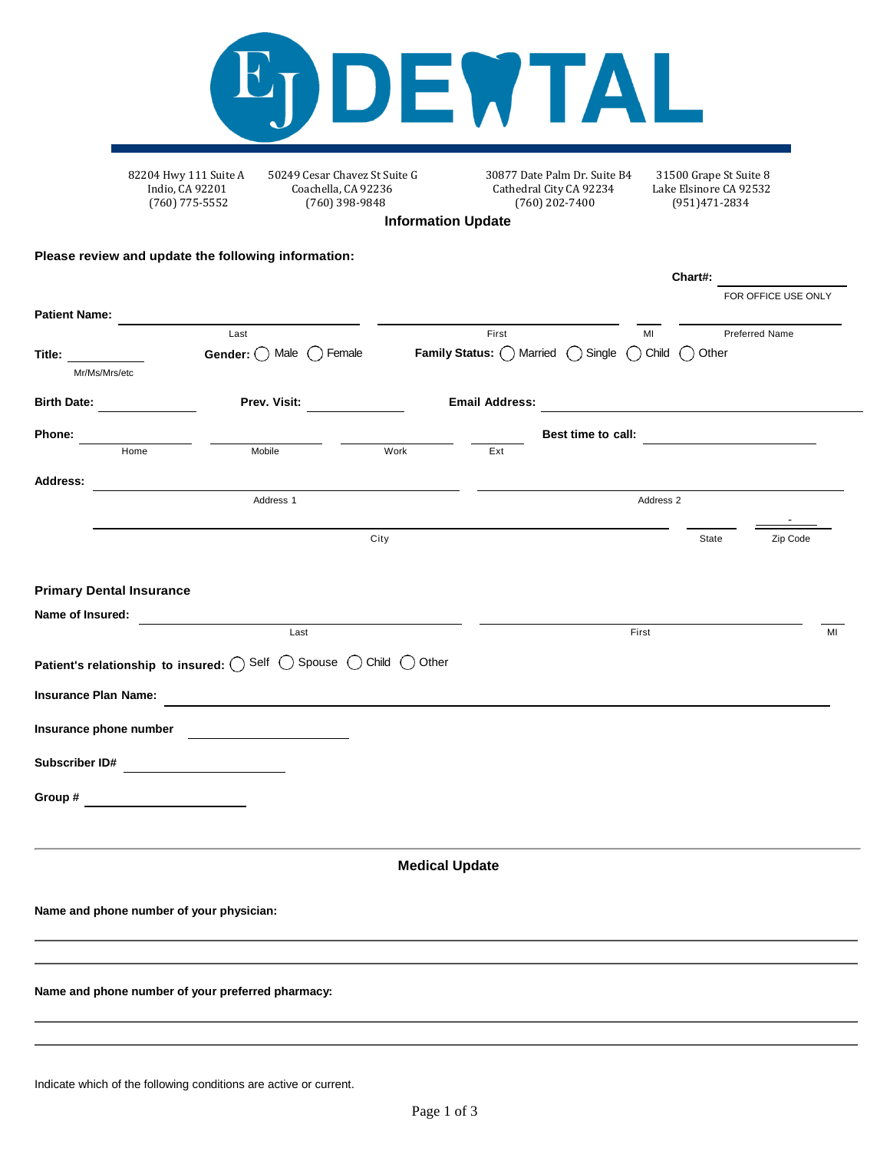

82204 Hwy 111 Suite A 50249 Cesar Chavez St Suite G 30877 Date Palm Dr. Suite B4 31500 Grape St Suite 8 Indio, CA 92201 Coachella, CA 92236 Cathedral City CA 92234 Lake Elsinore CA 92532 Cathedral City CA 92234 (760) 775-5552 (760) 398-9848 (760) 202-7400 (951)471-2834

**Chart#:**

**Information Update**

## **Please review and update the following information:**

|                                                                                                                                                                                                                                |                                                                    |                       |                                                          |           |                                                                                                                                                                                                                                | FOR OFFICE USE ONLY |    |
|--------------------------------------------------------------------------------------------------------------------------------------------------------------------------------------------------------------------------------|--------------------------------------------------------------------|-----------------------|----------------------------------------------------------|-----------|--------------------------------------------------------------------------------------------------------------------------------------------------------------------------------------------------------------------------------|---------------------|----|
| <b>Patient Name:</b>                                                                                                                                                                                                           | Last                                                               |                       | First                                                    | MI        |                                                                                                                                                                                                                                | Preferred Name      |    |
| Title: The Contract of the Contract of the Contract of the Contract of the Contract of the Contract of the Contract of the Contract of the Contract of the Contract of the Contract of the Contract of the Contract of the Con | Gender: $\bigcirc$ Male $\bigcirc$ Female                          |                       | <b>Family Status:</b> ○ Married ○ Single ○ Child ○ Other |           |                                                                                                                                                                                                                                |                     |    |
| Mr/Ms/Mrs/etc                                                                                                                                                                                                                  |                                                                    |                       |                                                          |           |                                                                                                                                                                                                                                |                     |    |
| Birth Date:                                                                                                                                                                                                                    | Prev. Visit:                                                       |                       | <b>Email Address:</b>                                    |           |                                                                                                                                                                                                                                |                     |    |
| <b>Phone:</b>                                                                                                                                                                                                                  |                                                                    |                       |                                                          |           | Best time to call: Search and the search of the search of the search of the search of the search of the search of the search of the search of the search of the search of the search of the search of the search of the search |                     |    |
| Home                                                                                                                                                                                                                           | Mobile                                                             | Work                  | Ext                                                      |           |                                                                                                                                                                                                                                |                     |    |
| <b>Address:</b>                                                                                                                                                                                                                |                                                                    |                       |                                                          |           |                                                                                                                                                                                                                                |                     |    |
|                                                                                                                                                                                                                                | Address 1                                                          |                       |                                                          | Address 2 |                                                                                                                                                                                                                                |                     |    |
|                                                                                                                                                                                                                                |                                                                    | City                  |                                                          |           | State                                                                                                                                                                                                                          | Zip Code            |    |
|                                                                                                                                                                                                                                |                                                                    |                       |                                                          |           |                                                                                                                                                                                                                                |                     |    |
| <b>Primary Dental Insurance</b>                                                                                                                                                                                                |                                                                    |                       |                                                          |           |                                                                                                                                                                                                                                |                     |    |
| Name of Insured:                                                                                                                                                                                                               |                                                                    |                       |                                                          |           |                                                                                                                                                                                                                                |                     |    |
|                                                                                                                                                                                                                                | Last                                                               |                       |                                                          | First     |                                                                                                                                                                                                                                |                     | MI |
|                                                                                                                                                                                                                                | Patient's relationship to insured: O Self O Spouse O Child O Other |                       |                                                          |           |                                                                                                                                                                                                                                |                     |    |
| <b>Insurance Plan Name:</b>                                                                                                                                                                                                    |                                                                    |                       |                                                          |           |                                                                                                                                                                                                                                |                     |    |
| Insurance phone number                                                                                                                                                                                                         | <u> 1990 - Johann Barbara, martin a</u>                            |                       |                                                          |           |                                                                                                                                                                                                                                |                     |    |
| Subscriber ID#                                                                                                                                                                                                                 | <u> 1980 - Jan Barnett, fransk politik (</u>                       |                       |                                                          |           |                                                                                                                                                                                                                                |                     |    |
| Group #                                                                                                                                                                                                                        |                                                                    |                       |                                                          |           |                                                                                                                                                                                                                                |                     |    |
|                                                                                                                                                                                                                                |                                                                    |                       |                                                          |           |                                                                                                                                                                                                                                |                     |    |
|                                                                                                                                                                                                                                |                                                                    | <b>Medical Update</b> |                                                          |           |                                                                                                                                                                                                                                |                     |    |
|                                                                                                                                                                                                                                |                                                                    |                       |                                                          |           |                                                                                                                                                                                                                                |                     |    |
| Name and phone number of your physician:                                                                                                                                                                                       |                                                                    |                       |                                                          |           |                                                                                                                                                                                                                                |                     |    |
|                                                                                                                                                                                                                                |                                                                    |                       |                                                          |           |                                                                                                                                                                                                                                |                     |    |
|                                                                                                                                                                                                                                | Name and phone number of your preferred pharmacy:                  |                       |                                                          |           |                                                                                                                                                                                                                                |                     |    |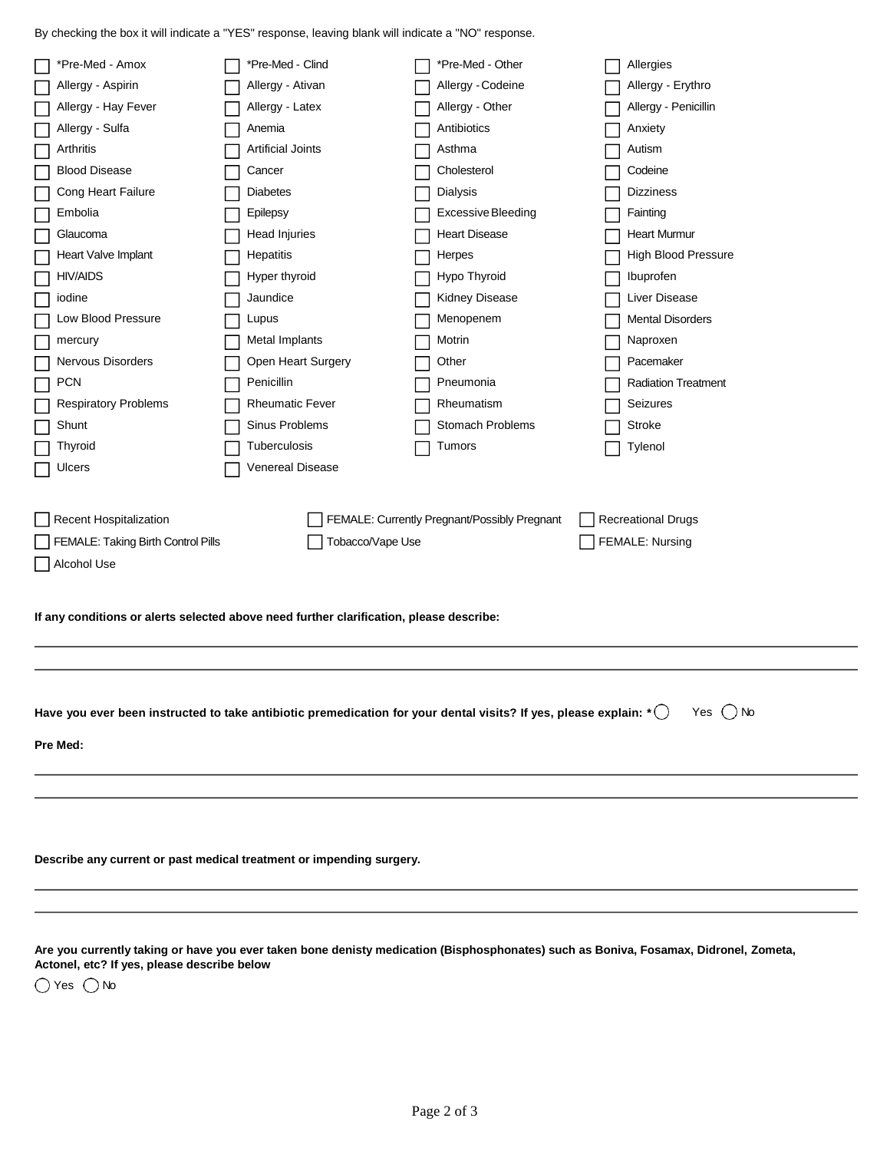By checking the box it will indicate a "YES" response, leaving blank will indicate a "NO" response.

| *Pre-Med - Amox                                                                                                                   |  | *Pre-Med - Clind         |  | *Pre-Med - Other                             |  | Allergies                       |  |
|-----------------------------------------------------------------------------------------------------------------------------------|--|--------------------------|--|----------------------------------------------|--|---------------------------------|--|
| Allergy - Aspirin                                                                                                                 |  | Allergy - Ativan         |  | Allergy - Codeine<br>Allergy - Erythro       |  |                                 |  |
|                                                                                                                                   |  |                          |  | Allergy - Other                              |  |                                 |  |
| Allergy - Hay Fever                                                                                                               |  | Allergy - Latex          |  |                                              |  | Allergy - Penicillin<br>Anxiety |  |
| Allergy - Sulfa                                                                                                                   |  | Anemia                   |  | Antibiotics                                  |  |                                 |  |
| Arthritis                                                                                                                         |  | <b>Artificial Joints</b> |  | Asthma                                       |  | Autism                          |  |
| <b>Blood Disease</b>                                                                                                              |  | Cancer                   |  | Cholesterol                                  |  | Codeine                         |  |
| Cong Heart Failure                                                                                                                |  | <b>Diabetes</b>          |  | <b>Dialysis</b><br><b>Dizziness</b>          |  |                                 |  |
| Embolia                                                                                                                           |  | Epilepsy                 |  | Excessive Bleeding<br>Fainting               |  |                                 |  |
| Glaucoma                                                                                                                          |  | Head Injuries            |  | <b>Heart Disease</b><br><b>Heart Murmur</b>  |  |                                 |  |
| Heart Valve Implant                                                                                                               |  | Hepatitis                |  | Herpes                                       |  | High Blood Pressure             |  |
| <b>HIV/AIDS</b>                                                                                                                   |  | Hyper thyroid            |  | Hypo Thyroid                                 |  | Ibuprofen                       |  |
| iodine                                                                                                                            |  | Jaundice                 |  | Kidney Disease                               |  | Liver Disease                   |  |
| Low Blood Pressure                                                                                                                |  | Lupus                    |  | Menopenem                                    |  | <b>Mental Disorders</b>         |  |
| mercury                                                                                                                           |  | Metal Implants           |  | Motrin                                       |  | Naproxen                        |  |
| Nervous Disorders                                                                                                                 |  | Open Heart Surgery       |  | Other                                        |  | Pacemaker                       |  |
| <b>PCN</b>                                                                                                                        |  | Penicillin               |  | Pneumonia                                    |  | <b>Radiation Treatment</b>      |  |
| <b>Respiratory Problems</b>                                                                                                       |  | <b>Rheumatic Fever</b>   |  | Rheumatism                                   |  | <b>Seizures</b>                 |  |
| Shunt                                                                                                                             |  | Sinus Problems           |  | Stomach Problems                             |  | Stroke                          |  |
| Thyroid                                                                                                                           |  | Tuberculosis             |  | Tumors                                       |  | Tylenol                         |  |
| Ulcers                                                                                                                            |  | Venereal Disease         |  |                                              |  |                                 |  |
|                                                                                                                                   |  |                          |  |                                              |  |                                 |  |
| Recent Hospitalization                                                                                                            |  |                          |  | FEMALE: Currently Pregnant/Possibly Pregnant |  | <b>Recreational Drugs</b>       |  |
|                                                                                                                                   |  |                          |  |                                              |  |                                 |  |
| Tobacco/Vape Use<br>FEMALE: Nursing<br>FEMALE: Taking Birth Control Pills                                                         |  |                          |  |                                              |  |                                 |  |
| Alcohol Use                                                                                                                       |  |                          |  |                                              |  |                                 |  |
|                                                                                                                                   |  |                          |  |                                              |  |                                 |  |
| If any conditions or alerts selected above need further clarification, please describe:                                           |  |                          |  |                                              |  |                                 |  |
|                                                                                                                                   |  |                          |  |                                              |  |                                 |  |
|                                                                                                                                   |  |                          |  |                                              |  |                                 |  |
|                                                                                                                                   |  |                          |  |                                              |  |                                 |  |
|                                                                                                                                   |  |                          |  |                                              |  |                                 |  |
| Have you ever been instructed to take antibiotic premedication for your dental visits? If yes, please explain: $\cdot$ $\bigcirc$ |  |                          |  |                                              |  | Yes $\bigcirc$ No               |  |
| Pre Med:                                                                                                                          |  |                          |  |                                              |  |                                 |  |
|                                                                                                                                   |  |                          |  |                                              |  |                                 |  |
|                                                                                                                                   |  |                          |  |                                              |  |                                 |  |
|                                                                                                                                   |  |                          |  |                                              |  |                                 |  |
|                                                                                                                                   |  |                          |  |                                              |  |                                 |  |
|                                                                                                                                   |  |                          |  |                                              |  |                                 |  |
| Describe any current or past medical treatment or impending surgery.                                                              |  |                          |  |                                              |  |                                 |  |
|                                                                                                                                   |  |                          |  |                                              |  |                                 |  |
|                                                                                                                                   |  |                          |  |                                              |  |                                 |  |

**Are you currently taking or have you ever taken bone denisty medication (Bisphosphonates) such as Boniva, Fosamax, Didronel, Zometa, Actonel, etc? If yes, please describe below**

 $\bigcirc$  Yes  $\bigcirc$  No